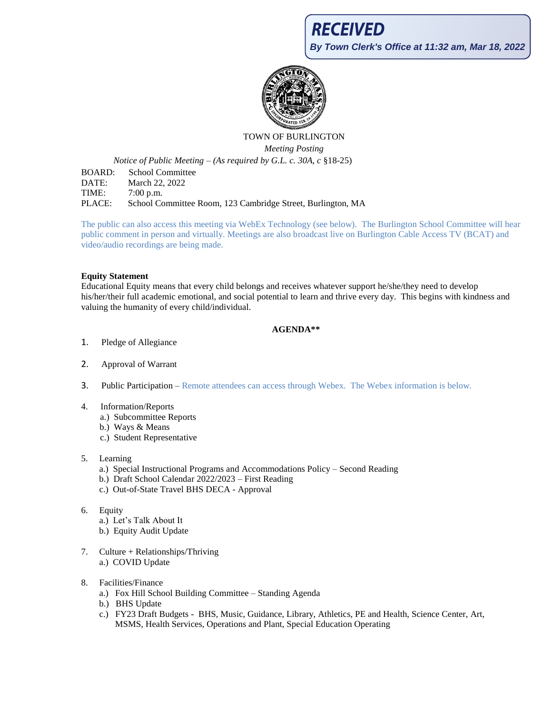

# TOWN OF BURLINGTON *Meeting Posting*

*Notice of Public Meeting – (As required by G.L. c. 30A, c* §18-25)

BOARD: School Committee DATE: March 22, 2022 TIME: 7:00 p.m. PLACE: School Committee Room, 123 Cambridge Street, Burlington, MA

The public can also access this meeting via WebEx Technology (see below). The Burlington School Committee will hear public comment in person and virtually. Meetings are also broadcast live on Burlington Cable Access TV (BCAT) and video/audio recordings are being made.

## **Equity Statement**

Educational Equity means that every child belongs and receives whatever support he/she/they need to develop his/her/their full academic emotional, and social potential to learn and thrive every day. This begins with kindness and valuing the humanity of every child/individual.

# **AGENDA\*\***

- 1. Pledge of Allegiance
- 2. Approval of Warrant
- 3. Public Participation Remote attendees can access through Webex. The Webex information is below.
- 4. Information/Reports
	- a.) Subcommittee Reports
	- b.) Ways & Means
	- c.) Student Representative
- 5. Learning
	- a.) Special Instructional Programs and Accommodations Policy Second Reading
	- b.) Draft School Calendar 2022/2023 First Reading
	- c.) Out-of-State Travel BHS DECA Approval
- 6. Equity
	- a.) Let's Talk About It
	- b.) Equity Audit Update
- 7. Culture + Relationships/Thriving a.) COVID Update
- 8. Facilities/Finance
	- a.) Fox Hill School Building Committee Standing Agenda
	- b.) BHS Update
	- c.) FY23 Draft Budgets BHS, Music, Guidance, Library, Athletics, PE and Health, Science Center, Art, MSMS, Health Services, Operations and Plant, Special Education Operating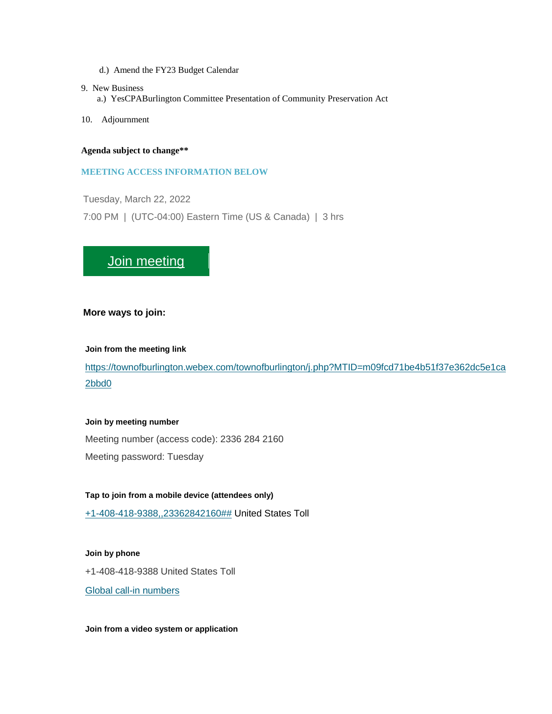- d.) Amend the FY23 Budget Calendar
- 9. New Business
	- a.) YesCPABurlington Committee Presentation of Community Preservation Act
- 10. Adjournment

#### **Agenda subject to change\*\***

#### **MEETING ACCESS INFORMATION BELOW**

Tuesday, March 22, 2022

7:00 PM | (UTC-04:00) Eastern Time (US & Canada) | 3 hrs

# **[Join meeting](https://townofburlington.webex.com/townofburlington/j.php?MTID=m09fcd71be4b51f37e362dc5e1ca2bbd0)**

### **More ways to join:**

#### **Join from the meeting link**

[https://townofburlington.webex.com/townofburlington/j.php?MTID=m09fcd71be4b51f37e362dc5e1ca](https://townofburlington.webex.com/townofburlington/j.php?MTID=m09fcd71be4b51f37e362dc5e1ca2bbd0) [2bbd0](https://townofburlington.webex.com/townofburlington/j.php?MTID=m09fcd71be4b51f37e362dc5e1ca2bbd0)

#### **Join by meeting number**

Meeting number (access code): 2336 284 2160 Meeting password: Tuesday

**Tap to join from a mobile device (attendees only)** [+1-408-418-9388,,23362842160##](tel:%2B1-408-418-9388,,*01*23362842160%23%23*01*) United States Toll

**Join by phone** +1-408-418-9388 United States Toll [Global call-in numbers](https://townofburlington.webex.com/townofburlington/globalcallin.php?MTID=m632dd3c949bc8fd299d75b1a95b0cc17)

**Join from a video system or application**